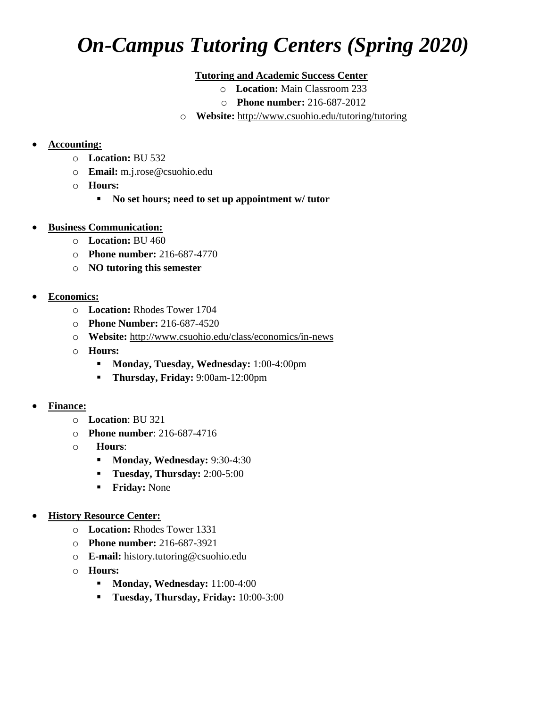## *On-Campus Tutoring Centers (Spring 2020)*

## **Tutoring and Academic Success Center**

- o **Location:** Main Classroom 233
- o **Phone number:** 216-687-2012
- o **Website:** <http://www.csuohio.edu/tutoring/tutoring>

## **Accounting:**

- o **Location:** BU 532
- o **Email:** m.j.rose@csuohio.edu
- o **Hours:**
	- **No set hours; need to set up appointment w/ tutor**
- **Business Communication:**
	- o **Location:** BU 460
	- o **Phone number:** 216-687-4770
	- o **NO tutoring this semester**
- **Economics:**
	- o **Location:** Rhodes Tower 1704
	- o **Phone Number:** 216-687-4520
	- o **Website:** <http://www.csuohio.edu/class/economics/in-news>
	- o **Hours:**
		- **Monday, Tuesday, Wednesday:** 1:00-4:00pm
		- **Thursday, Friday:** 9:00am-12:00pm
- **Finance:**
	- o **Location**: BU 321
	- o **Phone number**: 216-687-4716
	- o **Hours**:
		- **Monday, Wednesday: 9:30-4:30**
		- **Tuesday, Thursday:** 2:00-5:00
		- **Friday:** None
- **History Resource Center:**
	- o **Location:** Rhodes Tower 1331
	- o **Phone number:** 216-687-3921
	- o **E-mail:** history.tutoring@csuohio.edu
	- o **Hours:**
		- **Monday, Wednesday:** 11:00-4:00
		- **Tuesday, Thursday, Friday:** 10:00-3:00